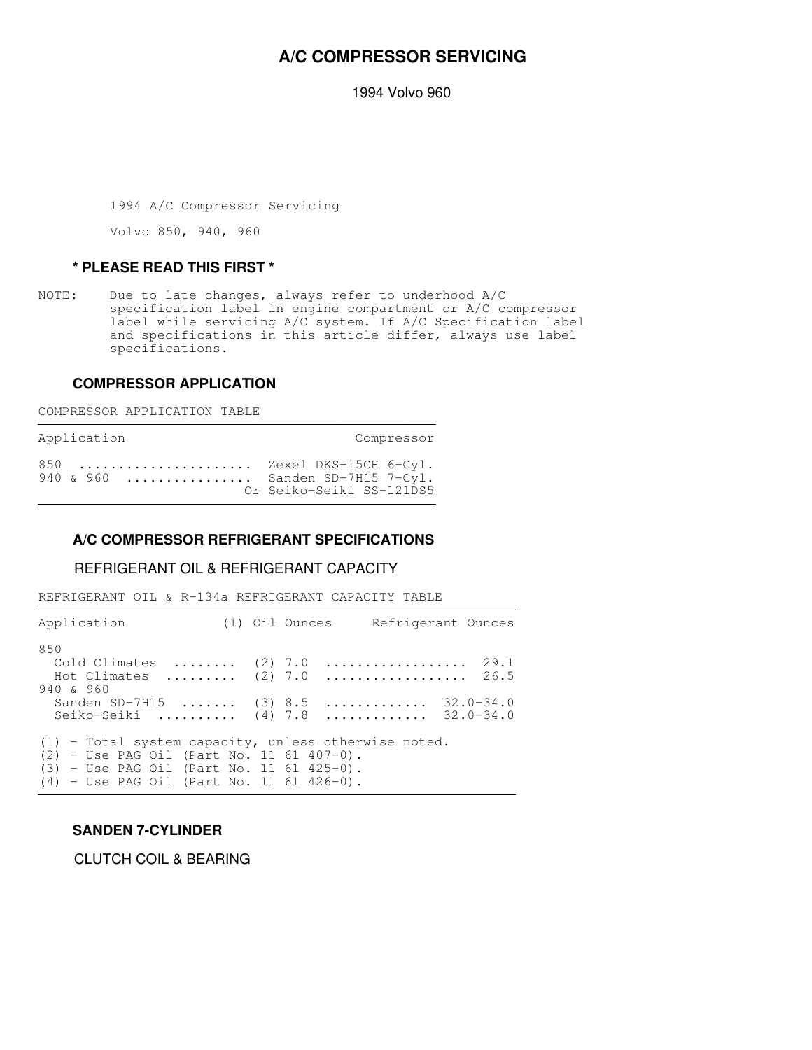# **A/C COMPRESSOR SERVICING**

1994 Volvo 960

1994 A/C Compressor Servicing

Volvo 850, 940, 960

#### **\* PLEASE READ THIS FIRST \***

NOTE: Due to late changes, always refer to underhood A/C specification label in engine compartment or A/C compressor label while servicing A/C system. If A/C Specification label and specifications in this article differ, always use label specifications.

#### **COMPRESSOR APPLICATION**

COMPRESSOR APPLICATION TABLE

Application Compressor

850 ...................... Zexel DKS-15CH 6-Cyl. 940 & 960 ............... Sanden SD-7H15 7-Cyl. Or Seiko-Seiki SS-121DS5

#### **A/C COMPRESSOR REFRIGERANT SPECIFICATIONS**

,我们就是一个人的,我们就是一个人的,我们就是一个人的,我们就是一个人的。""我们,我们就是一个人的。""我们,我们就是一个人的,我们就是一个人的,我们就是一个

## REFRIGERANT OIL & REFRIGERANT CAPACITY

REFRIGERANT OIL & R-134a REFRIGERANT CAPACITY TABLE

| Application                                                                                                                                                                                         |  | (1) Oil Ounces Refrigerant Ounces |  |
|-----------------------------------------------------------------------------------------------------------------------------------------------------------------------------------------------------|--|-----------------------------------|--|
| 850<br>Cold Climates $(2)$ 7.0<br>Hot Climates  (2) 7.0  26.5<br>940 & 960                                                                                                                          |  | . 29. 1                           |  |
| Sanden SD-7H15  (3) 8.5  32.0-34.0<br>Seiko-Seiki  (4) 7.8  32.0-34.0                                                                                                                               |  |                                   |  |
| $(1)$ - Total system capacity, unless otherwise noted.<br>$(2)$ - Use PAG Oil (Part No. 11 61 407-0).<br>$(3)$ - Use PAG Oil (Part No. 11 61 425-0).<br>$(4)$ - Use PAG Oil (Part No. 11 61 426-0). |  |                                   |  |

## **SANDEN 7-CYLINDER**

CLUTCH COIL & BEARING